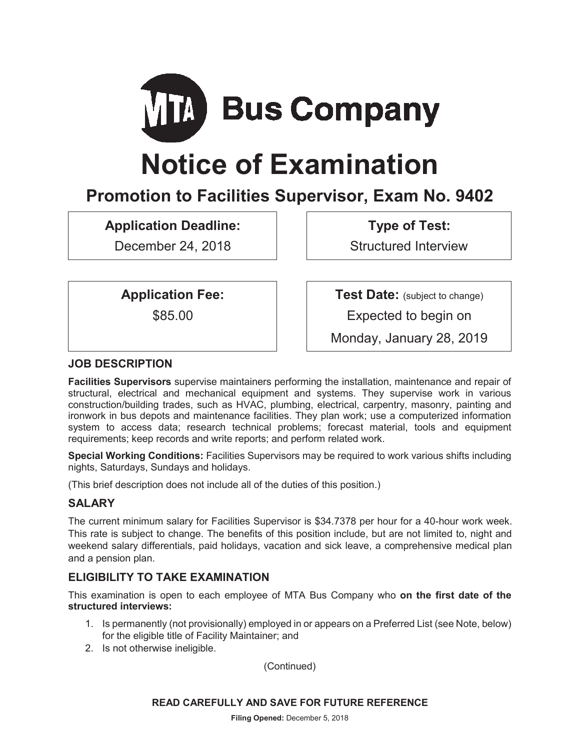

# **Notice of Examination**

# **Promotion to Facilities Supervisor, Exam No. 9402**

**Application Deadline:** 

December 24, 2018

**Type of Test:** 

Structured Interview

**Application Fee:** 

\$85.00

**Test Date:** (subject to change)

Expected to begin on

Monday, January 28, 2019

# **JOB DESCRIPTION**

**Facilities Supervisors** supervise maintainers performing the installation, maintenance and repair of structural, electrical and mechanical equipment and systems. They supervise work in various construction/building trades, such as HVAC, plumbing, electrical, carpentry, masonry, painting and ironwork in bus depots and maintenance facilities. They plan work; use a computerized information system to access data; research technical problems; forecast material, tools and equipment requirements; keep records and write reports; and perform related work.

**Special Working Conditions:** Facilities Supervisors may be required to work various shifts including nights, Saturdays, Sundays and holidays.

(This brief description does not include all of the duties of this position.)

# **SALARY**

The current minimum salary for Facilities Supervisor is \$34.7378 per hour for a 40-hour work week. This rate is subject to change. The benefits of this position include, but are not limited to, night and weekend salary differentials, paid holidays, vacation and sick leave, a comprehensive medical plan and a pension plan.

# **ELIGIBILITY TO TAKE EXAMINATION**

This examination is open to each employee of MTA Bus Company who **on the first date of the structured interviews:** 

- 1. Is permanently (not provisionally) employed in or appears on a Preferred List (see Note, below) for the eligible title of Facility Maintainer; and
- 2. Is not otherwise ineligible.

(Continued)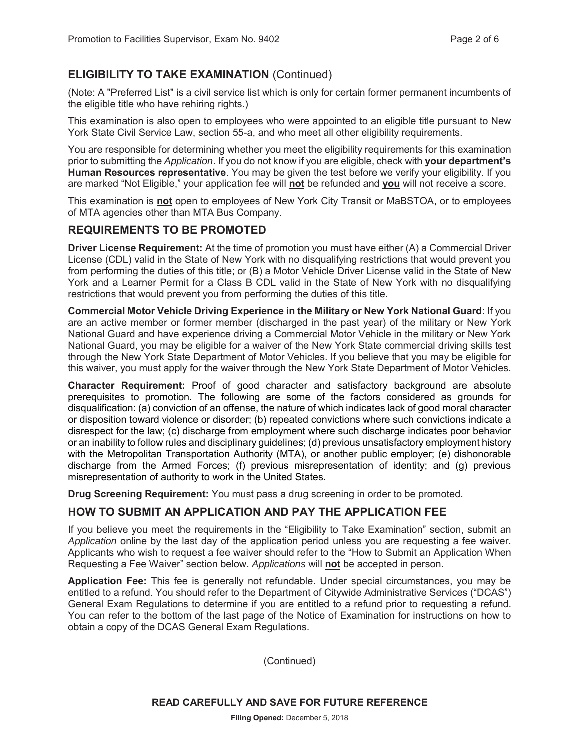# **ELIGIBILITY TO TAKE EXAMINATION** (Continued)

(Note: A "Preferred List" is a civil service list which is only for certain former permanent incumbents of the eligible title who have rehiring rights.)

This examination is also open to employees who were appointed to an eligible title pursuant to New York State Civil Service Law, section 55-a, and who meet all other eligibility requirements.

You are responsible for determining whether you meet the eligibility requirements for this examination prior to submitting the *Application*. If you do not know if you are eligible, check with **your department's Human Resources representative**. You may be given the test before we verify your eligibility. If you are marked "Not Eligible," your application fee will **not** be refunded and **you** will not receive a score.

This examination is **not** open to employees of New York City Transit or MaBSTOA, or to employees of MTA agencies other than MTA Bus Company.

#### **REQUIREMENTS TO BE PROMOTED**

**Driver License Requirement:** At the time of promotion you must have either (A) a Commercial Driver License (CDL) valid in the State of New York with no disqualifying restrictions that would prevent you from performing the duties of this title; or (B) a Motor Vehicle Driver License valid in the State of New York and a Learner Permit for a Class B CDL valid in the State of New York with no disqualifying restrictions that would prevent you from performing the duties of this title.

**Commercial Motor Vehicle Driving Experience in the Military or New York National Guard**: If you are an active member or former member (discharged in the past year) of the military or New York National Guard and have experience driving a Commercial Motor Vehicle in the military or New York National Guard, you may be eligible for a waiver of the New York State commercial driving skills test through the New York State Department of Motor Vehicles. If you believe that you may be eligible for this waiver, you must apply for the waiver through the New York State Department of Motor Vehicles.

**Character Requirement:** Proof of good character and satisfactory background are absolute prerequisites to promotion. The following are some of the factors considered as grounds for disqualification: (a) conviction of an offense, the nature of which indicates lack of good moral character or disposition toward violence or disorder; (b) repeated convictions where such convictions indicate a disrespect for the law; (c) discharge from employment where such discharge indicates poor behavior or an inability to follow rules and disciplinary guidelines; (d) previous unsatisfactory employment history with the Metropolitan Transportation Authority (MTA), or another public employer; (e) dishonorable discharge from the Armed Forces; (f) previous misrepresentation of identity; and (g) previous misrepresentation of authority to work in the United States.

**Drug Screening Requirement:** You must pass a drug screening in order to be promoted.

#### **HOW TO SUBMIT AN APPLICATION AND PAY THE APPLICATION FEE**

If you believe you meet the requirements in the "Eligibility to Take Examination" section, submit an *Application* online by the last day of the application period unless you are requesting a fee waiver. Applicants who wish to request a fee waiver should refer to the "How to Submit an Application When Requesting a Fee Waiver" section below. *Applications* will **not** be accepted in person.

**Application Fee:** This fee is generally not refundable. Under special circumstances, you may be entitled to a refund. You should refer to the Department of Citywide Administrative Services ("DCAS") General Exam Regulations to determine if you are entitled to a refund prior to requesting a refund. You can refer to the bottom of the last page of the Notice of Examination for instructions on how to obtain a copy of the DCAS General Exam Regulations.

(Continued)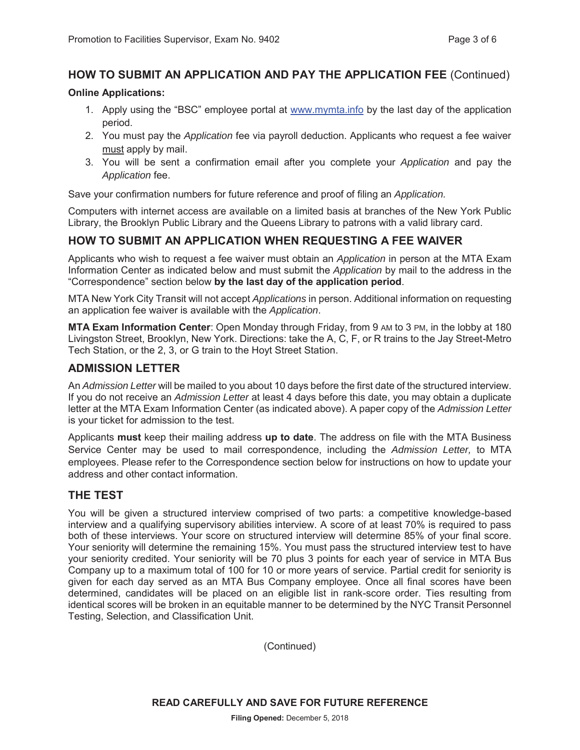# **HOW TO SUBMIT AN APPLICATION AND PAY THE APPLICATION FEE** (Continued)

#### **Online Applications:**

- 1. Apply using the "BSC" employee portal at www.mymta.info by the last day of the application period.
- 2. You must pay the *Application* fee via payroll deduction. Applicants who request a fee waiver must apply by mail.
- 3. You will be sent a confirmation email after you complete your *Application* and pay the *Application* fee.

Save your confirmation numbers for future reference and proof of filing an *Application.*

Computers with internet access are available on a limited basis at branches of the New York Public Library, the Brooklyn Public Library and the Queens Library to patrons with a valid library card.

# **HOW TO SUBMIT AN APPLICATION WHEN REQUESTING A FEE WAIVER**

Applicants who wish to request a fee waiver must obtain an *Application* in person at the MTA Exam Information Center as indicated below and must submit the *Application* by mail to the address in the "Correspondence" section below **by the last day of the application period**.

MTA New York City Transit will not accept *Applications* in person. Additional information on requesting an application fee waiver is available with the *Application*.

**MTA Exam Information Center**: Open Monday through Friday, from 9 AM to 3 PM, in the lobby at 180 Livingston Street, Brooklyn, New York. Directions: take the A, C, F, or R trains to the Jay Street-Metro Tech Station, or the 2, 3, or G train to the Hoyt Street Station.

#### **ADMISSION LETTER**

An *Admission Letter* will be mailed to you about 10 days before the first date of the structured interview. If you do not receive an *Admission Letter* at least 4 days before this date, you may obtain a duplicate letter at the MTA Exam Information Center (as indicated above). A paper copy of the *Admission Letter* is your ticket for admission to the test.

Applicants **must** keep their mailing address **up to date**. The address on file with the MTA Business Service Center may be used to mail correspondence, including the *Admission Letter,* to MTA employees. Please refer to the Correspondence section below for instructions on how to update your address and other contact information.

#### **THE TEST**

You will be given a structured interview comprised of two parts: a competitive knowledge-based interview and a qualifying supervisory abilities interview. A score of at least 70% is required to pass both of these interviews. Your score on structured interview will determine 85% of your final score. Your seniority will determine the remaining 15%. You must pass the structured interview test to have your seniority credited. Your seniority will be 70 plus 3 points for each year of service in MTA Bus Company up to a maximum total of 100 for 10 or more years of service. Partial credit for seniority is given for each day served as an MTA Bus Company employee. Once all final scores have been determined, candidates will be placed on an eligible list in rank-score order. Ties resulting from identical scores will be broken in an equitable manner to be determined by the NYC Transit Personnel Testing, Selection, and Classification Unit.

(Continued)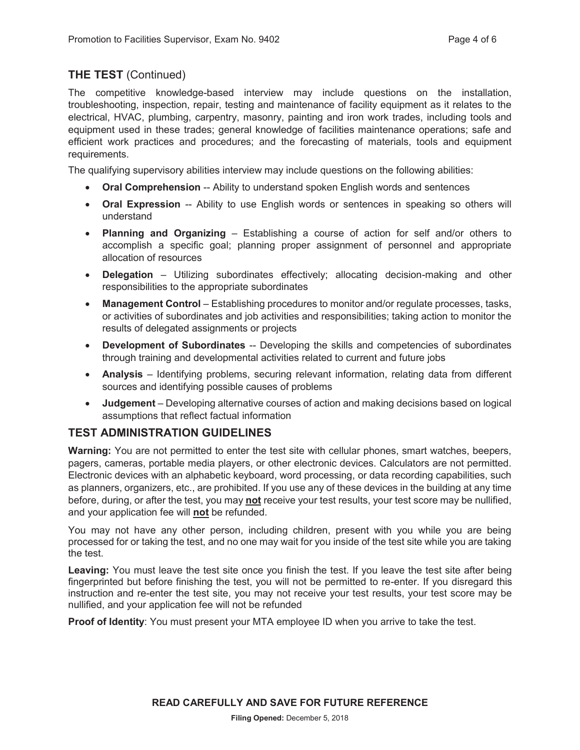# **THE TEST** (Continued)

The competitive knowledge-based interview may include questions on the installation, troubleshooting, inspection, repair, testing and maintenance of facility equipment as it relates to the electrical, HVAC, plumbing, carpentry, masonry, painting and iron work trades, including tools and equipment used in these trades; general knowledge of facilities maintenance operations; safe and efficient work practices and procedures; and the forecasting of materials, tools and equipment requirements.

The qualifying supervisory abilities interview may include questions on the following abilities:

- **Oral Comprehension** -- Ability to understand spoken English words and sentences
- **Oral Expression** -- Ability to use English words or sentences in speaking so others will understand
- **Planning and Organizing** Establishing a course of action for self and/or others to accomplish a specific goal; planning proper assignment of personnel and appropriate allocation of resources
- **Delegation** Utilizing subordinates effectively; allocating decision-making and other responsibilities to the appropriate subordinates
- **Management Control** Establishing procedures to monitor and/or regulate processes, tasks, or activities of subordinates and job activities and responsibilities; taking action to monitor the results of delegated assignments or projects
- **Development of Subordinates** -- Developing the skills and competencies of subordinates through training and developmental activities related to current and future jobs
- **Analysis** Identifying problems, securing relevant information, relating data from different sources and identifying possible causes of problems
- **Judgement** Developing alternative courses of action and making decisions based on logical assumptions that reflect factual information

#### **TEST ADMINISTRATION GUIDELINES**

**Warning:** You are not permitted to enter the test site with cellular phones, smart watches, beepers, pagers, cameras, portable media players, or other electronic devices. Calculators are not permitted. Electronic devices with an alphabetic keyboard, word processing, or data recording capabilities, such as planners, organizers, etc., are prohibited. If you use any of these devices in the building at any time before, during, or after the test, you may **not** receive your test results, your test score may be nullified, and your application fee will **not** be refunded.

You may not have any other person, including children, present with you while you are being processed for or taking the test, and no one may wait for you inside of the test site while you are taking the test.

**Leaving:** You must leave the test site once you finish the test. If you leave the test site after being fingerprinted but before finishing the test, you will not be permitted to re-enter. If you disregard this instruction and re-enter the test site, you may not receive your test results, your test score may be nullified, and your application fee will not be refunded

**Proof of Identity**: You must present your MTA employee ID when you arrive to take the test.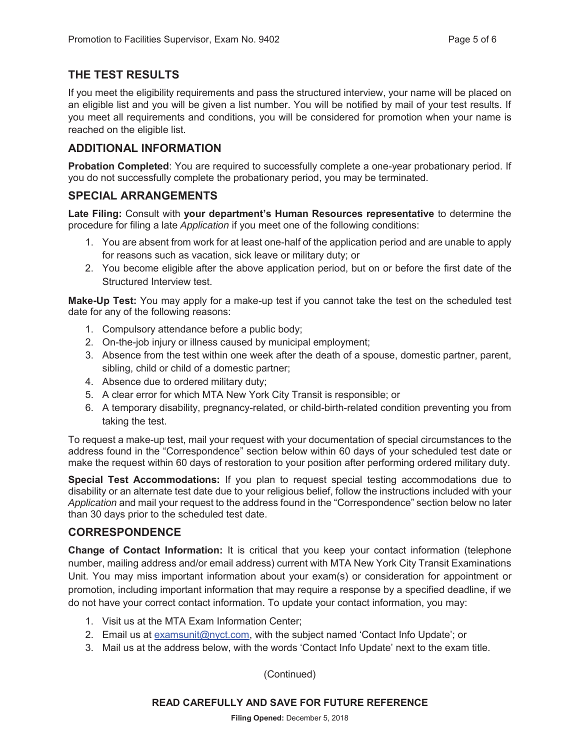# **THE TEST RESULTS**

If you meet the eligibility requirements and pass the structured interview, your name will be placed on an eligible list and you will be given a list number. You will be notified by mail of your test results. If you meet all requirements and conditions, you will be considered for promotion when your name is reached on the eligible list.

# **ADDITIONAL INFORMATION**

**Probation Completed**: You are required to successfully complete a one-year probationary period. If you do not successfully complete the probationary period, you may be terminated.

#### **SPECIAL ARRANGEMENTS**

**Late Filing:** Consult with **your department's Human Resources representative** to determine the procedure for filing a late *Application* if you meet one of the following conditions:

- 1. You are absent from work for at least one-half of the application period and are unable to apply for reasons such as vacation, sick leave or military duty; or
- 2. You become eligible after the above application period, but on or before the first date of the Structured Interview test.

**Make-Up Test:** You may apply for a make-up test if you cannot take the test on the scheduled test date for any of the following reasons:

- 1. Compulsory attendance before a public body;
- 2. On-the-job injury or illness caused by municipal employment;
- 3. Absence from the test within one week after the death of a spouse, domestic partner, parent, sibling, child or child of a domestic partner;
- 4. Absence due to ordered military duty;
- 5. A clear error for which MTA New York City Transit is responsible; or
- 6. A temporary disability, pregnancy-related, or child-birth-related condition preventing you from taking the test.

To request a make-up test, mail your request with your documentation of special circumstances to the address found in the "Correspondence" section below within 60 days of your scheduled test date or make the request within 60 days of restoration to your position after performing ordered military duty.

**Special Test Accommodations:** If you plan to request special testing accommodations due to disability or an alternate test date due to your religious belief, follow the instructions included with your *Application* and mail your request to the address found in the "Correspondence" section below no later than 30 days prior to the scheduled test date.

#### **CORRESPONDENCE**

**Change of Contact Information:** It is critical that you keep your contact information (telephone number, mailing address and/or email address) current with MTA New York City Transit Examinations Unit. You may miss important information about your exam(s) or consideration for appointment or promotion, including important information that may require a response by a specified deadline, if we do not have your correct contact information. To update your contact information, you may:

- 1. Visit us at the MTA Exam Information Center;
- 2. Email us at examsunit@nyct.com, with the subject named 'Contact Info Update'; or
- 3. Mail us at the address below, with the words 'Contact Info Update' next to the exam title.

(Continued)